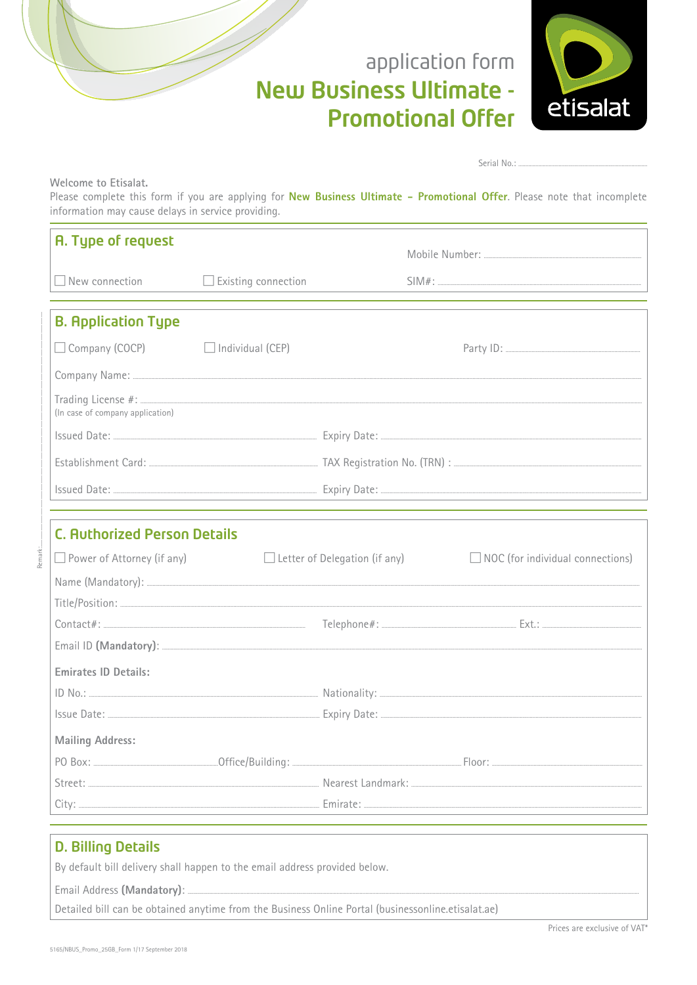# application form **New Business Ultimate -Promotional Offer**



Serial No.:

Welcome to Etisalat.

Please complete this form if you are applying for New Business Ultimate - Promotional Offer. Please note that incomplete information may cause delays in service providing.

| A. Type of request                  |                                      |                                                                                                                                                                                                                                                                                                                                                                                     |
|-------------------------------------|--------------------------------------|-------------------------------------------------------------------------------------------------------------------------------------------------------------------------------------------------------------------------------------------------------------------------------------------------------------------------------------------------------------------------------------|
| $\Box$ New connection               | $\Box$ Existing connection           | $\textsf{SIM}\# \texttt{:}\ \_\texttt{num}$                                                                                                                                                                                                                                                                                                                                         |
|                                     |                                      |                                                                                                                                                                                                                                                                                                                                                                                     |
| <b>B. Application Type</b>          |                                      |                                                                                                                                                                                                                                                                                                                                                                                     |
| □ Company (COCP)                    | $\Box$ Individual (CEP)              |                                                                                                                                                                                                                                                                                                                                                                                     |
|                                     |                                      |                                                                                                                                                                                                                                                                                                                                                                                     |
| (In case of company application)    |                                      |                                                                                                                                                                                                                                                                                                                                                                                     |
|                                     |                                      |                                                                                                                                                                                                                                                                                                                                                                                     |
|                                     |                                      |                                                                                                                                                                                                                                                                                                                                                                                     |
|                                     |                                      |                                                                                                                                                                                                                                                                                                                                                                                     |
|                                     |                                      |                                                                                                                                                                                                                                                                                                                                                                                     |
| <b>C. Authorized Person Details</b> |                                      |                                                                                                                                                                                                                                                                                                                                                                                     |
| $\Box$ Power of Attorney (if any)   | $\Box$ Letter of Delegation (if any) | $\Box$ NOC (for individual connections)                                                                                                                                                                                                                                                                                                                                             |
|                                     |                                      |                                                                                                                                                                                                                                                                                                                                                                                     |
|                                     |                                      |                                                                                                                                                                                                                                                                                                                                                                                     |
|                                     |                                      | $\text{Context}:$ $\text{Extract}$ $\text{Ext}$ $\text{Ext}$ $\text{Ext}$ $\text{Ext}$ $\text{Ext}$ $\text{Ext}$ $\text{Ext}$ $\text{Ext}$ $\text{Ext}$ $\text{Ext}$ $\text{Ext}$ $\text{Ext}$ $\text{Ext}$ $\text{Ext}$ $\text{Ext}$ $\text{Ext}$ $\text{Ext}$ $\text{Ext}$ $\text{Ext}$ $\text{Ext}$ $\text{Ext}$ $\text{Ext}$ $\text{Ext}$ $\text{Ext}$ $\text{Ext}$ $\text{Ext$ |
|                                     |                                      |                                                                                                                                                                                                                                                                                                                                                                                     |
| Emirates ID Details:                |                                      |                                                                                                                                                                                                                                                                                                                                                                                     |
|                                     |                                      |                                                                                                                                                                                                                                                                                                                                                                                     |
|                                     |                                      |                                                                                                                                                                                                                                                                                                                                                                                     |
| <b>Mailing Address:</b>             |                                      |                                                                                                                                                                                                                                                                                                                                                                                     |
|                                     |                                      |                                                                                                                                                                                                                                                                                                                                                                                     |
|                                     |                                      |                                                                                                                                                                                                                                                                                                                                                                                     |
|                                     |                                      |                                                                                                                                                                                                                                                                                                                                                                                     |

## **D. Billing Details**

By default bill delivery shall happen to the email address provided below.

Email Address (Mandatory):

Detailed bill can be obtained anytime from the Business Online Portal (businessonline.etisalat.ae)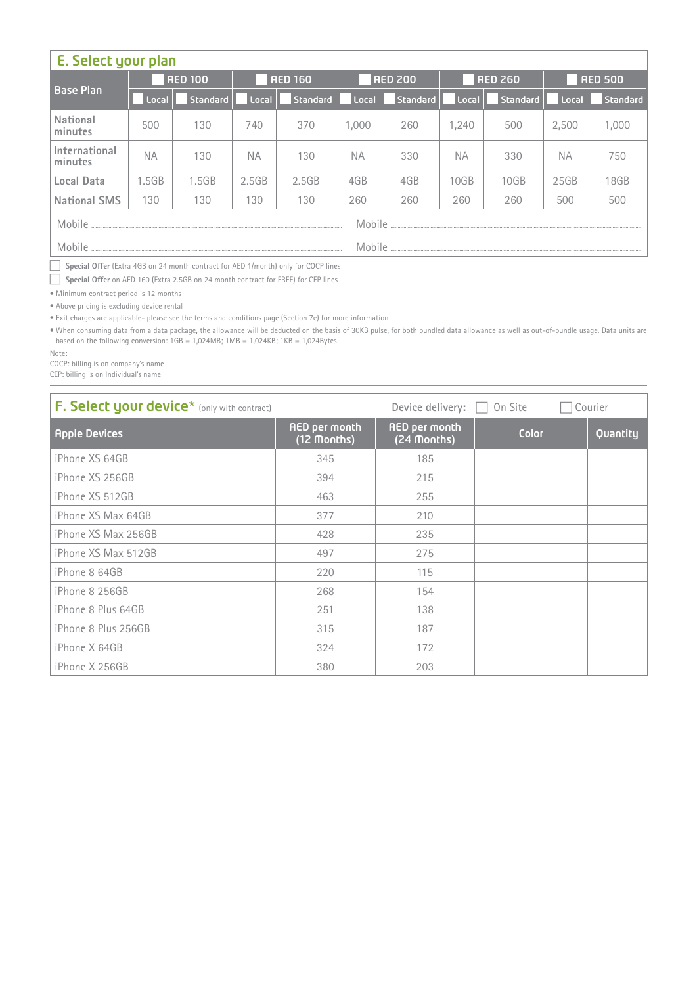| E. Select your plan      |           |                |                |          |                |          |                |          |                |          |  |
|--------------------------|-----------|----------------|----------------|----------|----------------|----------|----------------|----------|----------------|----------|--|
|                          |           | <b>AED 100</b> | <b>RED 160</b> |          | <b>RED 200</b> |          | <b>AED 260</b> |          | <b>AED 500</b> |          |  |
| <b>Base Plan</b>         | Local     | Standard       | Local          | Standard | Local          | Standard | Local          | Standard | Local          | Standard |  |
| National<br>minutes      | 500       | 130            | 740            | 370      | 1.000          | 260      | 1.240          | 500      | 2.500          | 1,000    |  |
| International<br>minutes | <b>NA</b> | 130            | <b>NA</b>      | 130      | <b>NA</b>      | 330      | <b>NA</b>      | 330      | NA.            | 750      |  |
| Local Data               | 1.5GB     | 1.5GB          | 2.5GB          | 2.5GB    | 4GB            | 4GB      | 10GB           | 10GB     | 25GB           | 18GB     |  |
| <b>National SMS</b>      | 130       | 130            | 130            | 130      | 260            | 260      | 260            | 260      | 500            | 500      |  |
| Mobile                   | Mobile    |                |                |          |                |          |                |          |                |          |  |
| Mobile                   | Mobile    |                |                |          |                |          |                |          |                |          |  |

**Special Offer** (Extra 4GB on 24 month contract for AED 1/ month) only for COCP lines

**Special Offer** on AED 160 (Extra 2.5GB on 24 month contract for FREE) for CEP lines

• Minimum contract period is 12 months

• Above pricing is excluding device rental

• Exit charges are applicable- please see the terms and conditions page (Section 7c) for more information

. When consuming data from a data package, the allowance will be deducted on the basis of 30KB pulse, for both bundled data allowance as well as out-of-bundle usage. Data units are based on the following conversion:  $1GB = 1,024MB$ ;  $1MB = 1,024KB$ ;  $1KB = 1,024By$ tes

Note:

COCP: billing is on company's name

CEP: billing is on Individual's name

| <b>F. Select your device*</b> (only with contract) |                                     | Device delivery:<br>On Site<br>Courier |       |          |  |  |
|----------------------------------------------------|-------------------------------------|----------------------------------------|-------|----------|--|--|
| <b>Apple Devices</b>                               | <b>AED per month</b><br>(12 Months) | <b>AED per month</b><br>(24 Months)    | Color | Quantity |  |  |
| iPhone XS 64GB                                     | 345                                 | 185                                    |       |          |  |  |
| iPhone XS 256GB                                    | 394                                 | 215                                    |       |          |  |  |
| iPhone XS 512GB                                    | 463                                 | 255                                    |       |          |  |  |
| iPhone XS Max 64GB                                 | 377                                 | 210                                    |       |          |  |  |
| iPhone XS Max 256GB                                | 428                                 | 235                                    |       |          |  |  |
| iPhone XS Max 512GB                                | 497                                 | 275                                    |       |          |  |  |
| iPhone 8 64GB                                      | 220                                 | 115                                    |       |          |  |  |
| iPhone 8 256GB                                     | 268                                 | 154                                    |       |          |  |  |
| iPhone 8 Plus 64GB                                 | 251                                 | 138                                    |       |          |  |  |
| iPhone 8 Plus 256GB                                | 315                                 | 187                                    |       |          |  |  |
| iPhone X 64GB                                      | 324                                 | 172                                    |       |          |  |  |
| iPhone X 256GB                                     | 380                                 | 203                                    |       |          |  |  |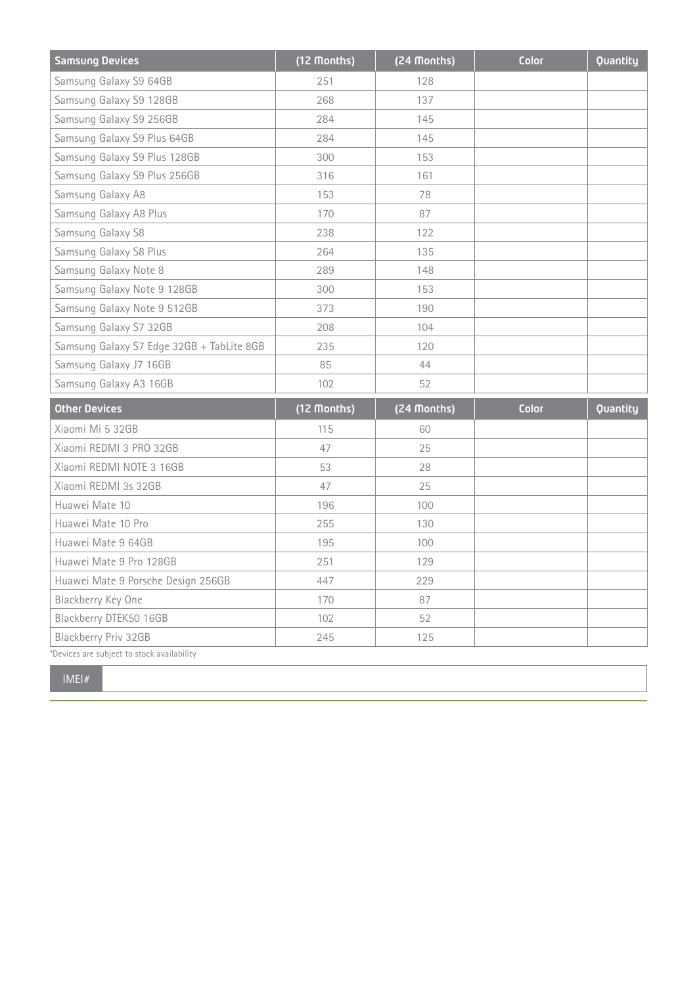| <b>Samsung Devices</b>                     | (12 Months) | (24 Months) | Color | Quantity |
|--------------------------------------------|-------------|-------------|-------|----------|
| Samsung Galaxy S9 64GB                     | 251         | 128         |       |          |
| Samsung Galaxy S9 128GB                    | 268         | 137         |       |          |
| Samsung Galaxy S9 256GB                    | 284         | 145         |       |          |
| Samsung Galaxy S9 Plus 64GB                | 284         | 145         |       |          |
| Samsung Galaxy S9 Plus 128GB               | 300         | 153         |       |          |
| Samsung Galaxy S9 Plus 256GB               | 316         | 161         |       |          |
| Samsung Galaxy A8                          | 153         | 78          |       |          |
| Samsung Galaxy A8 Plus                     | 170         | 87          |       |          |
| Samsung Galaxy S8                          | 238         | 122         |       |          |
| Samsung Galaxy S8 Plus                     | 264         | 135         |       |          |
| Samsung Galaxy Note 8                      | 289         | 148         |       |          |
| Samsung Galaxy Note 9 128GB                | 300         | 153         |       |          |
| Samsung Galaxy Note 9 512GB                | 373         | 190         |       |          |
| Samsung Galaxy S7 32GB                     | 208         | 104         |       |          |
| Samsung Galaxy S7 Edge 32GB + TabLite 8GB  | 235         | 120         |       |          |
| Samsung Galaxy J7 16GB                     | 85          | 44          |       |          |
| Samsung Galaxy A3 16GB                     | 102         | 52          |       |          |
| <b>Other Devices</b>                       | (12 Months) | (24 Months) | Color | Quantity |
| Xiaomi Mi 5 32GB                           | 115         | 60          |       |          |
| Xiaomi REDMI 3 PRO 32GB                    | 47          | 25          |       |          |
| Xiaomi REDMI NOTE 3 16GB                   | 53          | 28          |       |          |
| Xiaomi REDMI 3s 32GB                       | 47          | 25          |       |          |
| Huawei Mate 10                             | 196         | 100         |       |          |
| Huawei Mate 10 Pro                         | 255         | 130         |       |          |
| Huawei Mate 9 64GB                         | 195         | 100         |       |          |
| Huawei Mate 9 Pro 128GB                    | 251         | 129         |       |          |
| Huawei Mate 9 Porsche Design 256GB         | 447         | 229         |       |          |
| Blackberry Key One                         | 170         | 87          |       |          |
| Blackberry DTEK50 16GB                     | 102         | 52          |       |          |
| Blackberry Priv 32GB                       | 245         | 125         |       |          |
| *Devices are subject to stock availability |             |             |       |          |

#IMEI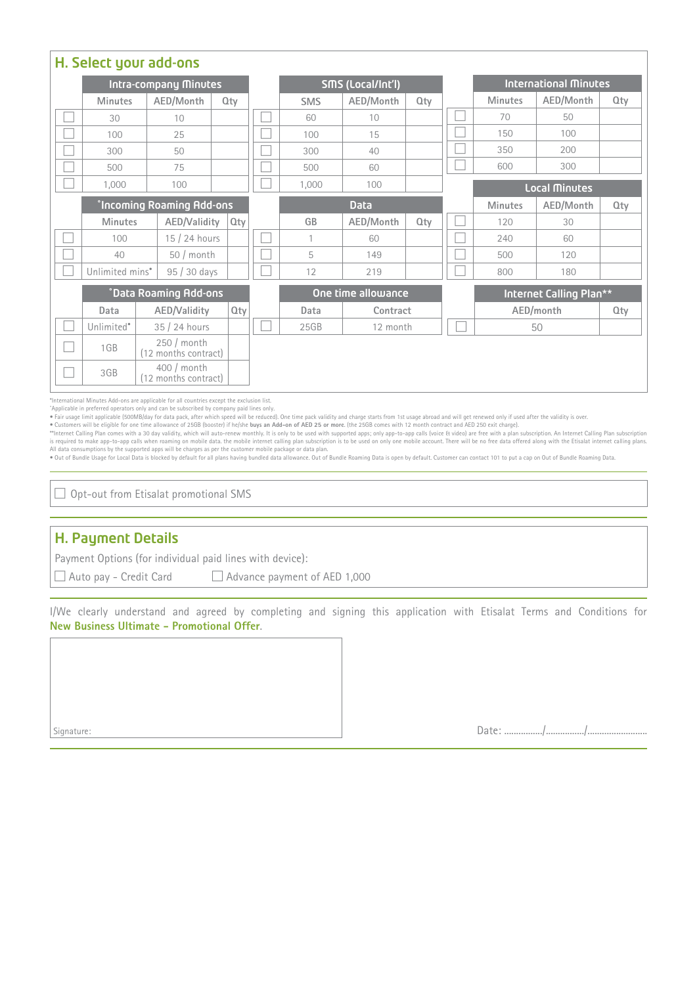| H. Select your add-ons       |                                 |                            |                                     |     |              |                    |            |           |                      |                              |                |            |            |
|------------------------------|---------------------------------|----------------------------|-------------------------------------|-----|--------------|--------------------|------------|-----------|----------------------|------------------------------|----------------|------------|------------|
| <b>Intra-company Minutes</b> |                                 |                            |                                     |     |              | SMS (Local/Int'l)  |            |           |                      | <b>International Minutes</b> |                |            |            |
|                              | <b>Minutes</b>                  |                            | AED/Month                           | Qty |              |                    | <b>SMS</b> | AED/Month | $Q$ ty               |                              | <b>Minutes</b> | AED/Month  | <b>Qty</b> |
|                              | 30                              |                            | 10                                  |     |              |                    | 60         | 10        |                      |                              | 70             | 50         |            |
|                              | 100                             |                            | 25                                  |     |              |                    | 100        | 15        |                      |                              | 150            | 100        |            |
|                              | 300                             |                            | 50                                  |     |              |                    | 300        | 40        |                      |                              | 350            | 200        |            |
|                              | 500                             |                            | 75                                  |     |              |                    | 500        | 60        |                      |                              | 600            | 300        |            |
|                              | 1.000<br>100                    |                            |                                     |     | 1,000<br>100 |                    |            |           | <b>Local Minutes</b> |                              |                |            |            |
|                              | <b>Incoming Roaming Add-ons</b> |                            |                                     |     |              | <b>Data</b>        |            |           |                      | <b>Minutes</b>               | AED/Month      | <b>Qty</b> |            |
|                              | <b>Minutes</b>                  |                            | AED/Validity                        |     | <b>Qty</b>   |                    | GB         | AED/Month | Qty                  |                              | 120            | 30         |            |
|                              | 100                             |                            | 15 / 24 hours                       |     |              |                    | 1          | 60        |                      |                              | 240            | 60         |            |
|                              | 40                              |                            | $50 / \text{month}$                 |     |              |                    | 5          | 149       |                      |                              | 500            | 120        |            |
|                              | Unlimited mins*                 |                            | 95 / 30 days                        |     |              |                    | 12         | 219       |                      |                              | 800            | 180        |            |
|                              | <b>CData Roaming Add-ons</b>    |                            |                                     |     |              | One time allowance |            |           |                      | Internet Calling Plan**      |                |            |            |
|                              | Data                            | AED/Validity<br><b>Qty</b> |                                     |     |              | Data               | Contract   |           |                      | AED/month                    |                | <b>Qty</b> |            |
|                              | Unlimited <sup>®</sup>          | 35 / 24 hours              |                                     |     |              | 25GB               | 12 month   |           |                      | 50                           |                |            |            |
|                              | 1GB                             |                            | 250 / month<br>(12 months contract) |     |              |                    |            |           |                      |                              |                |            |            |
|                              | 3GB                             |                            | 400 / month<br>(12 months contract) |     |              |                    |            |           |                      |                              |                |            |            |

\*International Minutes Add-ons are applicable for all countries except the exclusion list. .only lines paid company by subscribed be can and only operators preferred in Applicable˚

. ppm.sour in process of the after used if one of the after which speed will be reduced). One time pack validity and charge starts from 1st usage abroad and will get renewed only if used after the validity is over. The va

• Customers will be eligible for one time allowance of 25GB (booster) if he/she **buys an Add-on of AED 25 or more.** (the 25GB comes with 12 month contract and AED 250 exit charge).<br>\*\*Internet Calling Plan comes with a 30 d is required to make app-to-app calls when roaming on mobile data. the mobile internet calling plan subscription is to be used on only one mobile account. There will be no free data offered along with the Etisalat internet

 $\Box$  Opt-out from Etisalat promotional SMS

### H. Payment Details

Payment Options (for individual paid lines with device):

 $\Box$  Auto pay - Credit Card  $\Box$  Advance payment of AED 1,000

I/We clearly understand and agreed by completing and signing this application with Etisalat Terms and Conditions for New Business Ultimate - Promotional Offer.

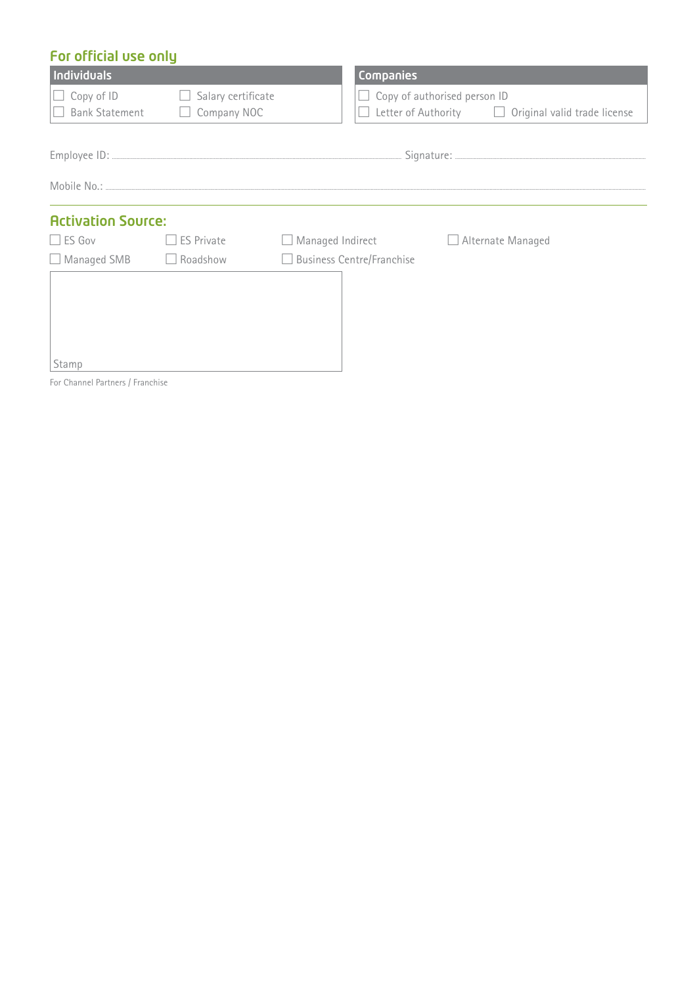## For official use only

| Individuals                         |                                   |                                  | Companies                    |                                                         |
|-------------------------------------|-----------------------------------|----------------------------------|------------------------------|---------------------------------------------------------|
| Copy of ID<br><b>Bank Statement</b> | Salary certificate<br>Company NOC | $\Box$                           | Copy of authorised person ID | Letter of Authority $\Box$ Original valid trade license |
|                                     |                                   |                                  |                              |                                                         |
|                                     |                                   |                                  |                              |                                                         |
| <b>Activation Source:</b>           |                                   |                                  |                              |                                                         |
| $\Box$ ES Gov                       | <b>ES Private</b>                 | Managed Indirect                 |                              | □ Alternate Managed                                     |
| $\Box$ Managed SMB                  | Roadshow<br>$\Box$                | <b>Business Centre/Franchise</b> |                              |                                                         |
|                                     |                                   |                                  |                              |                                                         |
| Stamp                               |                                   |                                  |                              |                                                         |

For Channel Partners / Franchise